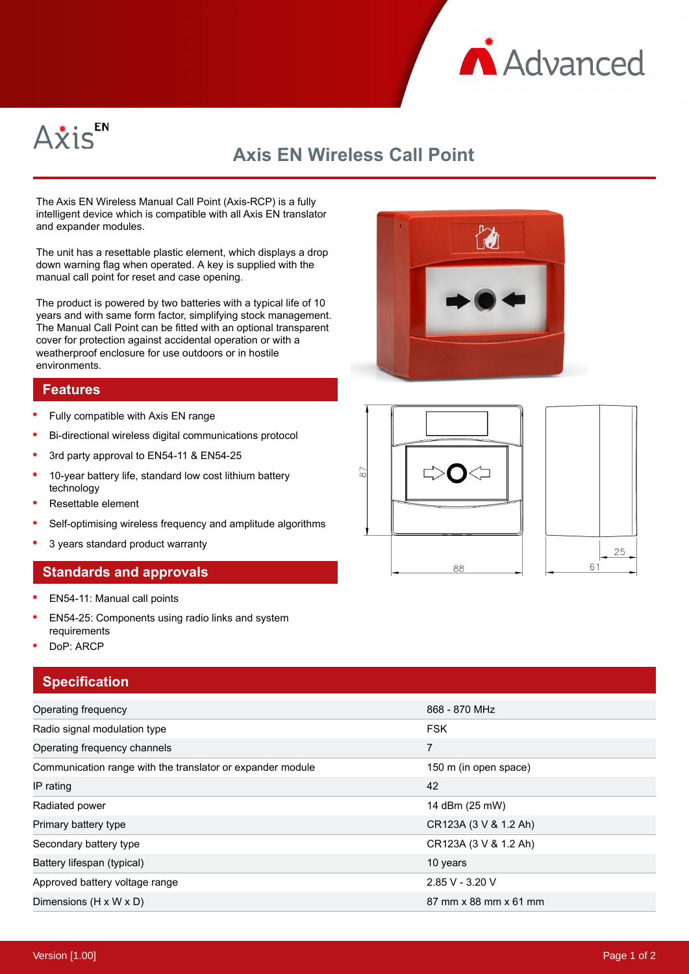



# **Axis EN Wireless Call Point**

The Axis EN Wireless Manual Call Point (Axis-RCP) is a fully intelligent device which is compatible with all Axis EN translator and expander modules.

The unit has a resettable plastic element, which displays a drop down warning flag when operated. A key is supplied with the manual call point for reset and case opening.

The product is powered by two batteries with a typical life of 10 years and with same form factor, simplifying stock management. The Manual Call Point can be fitted with an optional transparent cover for protection against accidental operation or with a weatherproof enclosure for use outdoors or in hostile environments.

#### **Features**

- $\bullet$ Fully compatible with Axis EN range
- $\bullet$ Bi-directional wireless digital communications protocol
- 3rd party approval to EN54-11 & EN54-25
- 10-year battery life, standard low cost lithium battery technology
- Resettable element
- Self-optimising wireless frequency and amplitude algorithms
- 3 years standard product warranty

#### **Standards and approvals**

- EN54-11: Manual call points
- EN54-25: Components using radio links and system requirements
- DoP: ARCP

## **Specification**

| ____________                                               |                       |
|------------------------------------------------------------|-----------------------|
| Operating frequency                                        | 868 - 870 MHz         |
| Radio signal modulation type                               | <b>FSK</b>            |
| Operating frequency channels                               | 7                     |
| Communication range with the translator or expander module | 150 m (in open space) |
| IP rating                                                  | 42                    |
| Radiated power                                             | 14 dBm (25 mW)        |
| Primary battery type                                       | CR123A (3 V & 1.2 Ah) |
| Secondary battery type                                     | CR123A (3 V & 1.2 Ah) |
| Battery lifespan (typical)                                 | 10 years              |
| Approved battery voltage range                             | 2.85 V - 3.20 V       |
| Dimensions $(H \times W \times D)$                         | 87 mm x 88 mm x 61 mm |